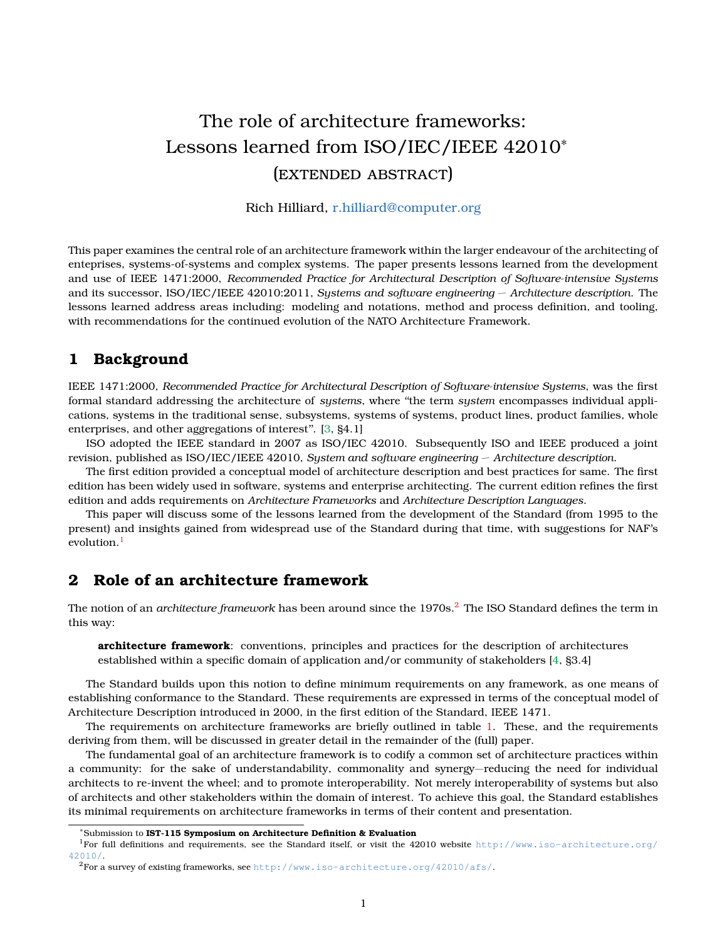# The role of architecture frameworks: Lessons learned from ISO/IEC/IEEE 42010<sup>∗</sup> (extended abstract)

## Rich Hilliard, [r.hilliard@computer.org](mailto:r.hilliard@computer.org)

This paper examines the central role of an architecture framework within the larger endeavour of the architecting of enteprises, systems-of-systems and complex systems. The paper presents lessons learned from the development and use of IEEE 1471:2000, *Recommended Practice for Architectural Description of Software-intensive Systems* and its successor, ISO/IEC/IEEE 42010:2011, *Systems and software engineering — Architecture description*. The lessons learned address areas including: modeling and notations, method and process definition, and tooling, with recommendations for the continued evolution of the NATO Architecture Framework.

# **1 Background**

IEEE 1471:2000, *Recommended Practice for Architectural Description of Software-intensive Systems*, was the first formal standard addressing the architecture of *systems*, where ''the term *system* encompasses individual applications, systems in the traditional sense, subsystems, systems of systems, product lines, product families, whole enterprises, and other aggregations of interest''. [\[3,](#page-3-0) §4.1]

ISO adopted the IEEE standard in 2007 as ISO/IEC 42010. Subsequently ISO and IEEE produced a joint revision, published as ISO/IEC/IEEE 42010, *System and software engineering — Architecture description*.

The first edition provided a conceptual model of architecture description and best practices for same. The first edition has been widely used in software, systems and enterprise architecting. The current edition refines the first edition and adds requirements on *Architecture Frameworks* and *Architecture Description Languages*.

This paper will discuss some of the lessons learned from the development of the Standard (from 1995 to the present) and insights gained from widespread use of the Standard during that time, with suggestions for NAF's evolution.<sup>[1](#page-0-0)</sup>

# **2 Role of an architecture framework**

The notion of an *architecture framework* has been around since the 1970s.<sup>[2](#page-0-1)</sup> The ISO Standard defines the term in this way:

**architecture framework**: conventions, principles and practices for the description of architectures established within a specific domain of application and/or community of stakeholders [\[4,](#page-3-1) §3.4]

The Standard builds upon this notion to define minimum requirements on any framework, as one means of establishing conformance to the Standard. These requirements are expressed in terms of the conceptual model of Architecture Description introduced in 2000, in the first edition of the Standard, IEEE 1471.

The requirements on architecture frameworks are briefly outlined in table [1.](#page-1-0) These, and the requirements deriving from them, will be discussed in greater detail in the remainder of the (full) paper.

The fundamental goal of an architecture framework is to codify a common set of architecture practices within a community: for the sake of understandability, commonality and synergy—reducing the need for individual architects to re-invent the wheel; and to promote interoperability. Not merely interoperability of systems but also of architects and other stakeholders within the domain of interest. To achieve this goal, the Standard establishes its minimal requirements on architecture frameworks in terms of their content and presentation.

<span id="page-0-0"></span><sup>∗</sup>Submission to **IST-115 Symposium on Architecture Definition & Evaluation**

<sup>&</sup>lt;sup>1</sup>For full definitions and requirements, see the Standard itself, or visit the 42010 website [http://www.iso-architecture.org/](http://www.iso-architecture.org/42010/) [42010/](http://www.iso-architecture.org/42010/).

<span id="page-0-1"></span><sup>2</sup>For a survey of existing frameworks, see <http://www.iso-architecture.org/42010/afs/>.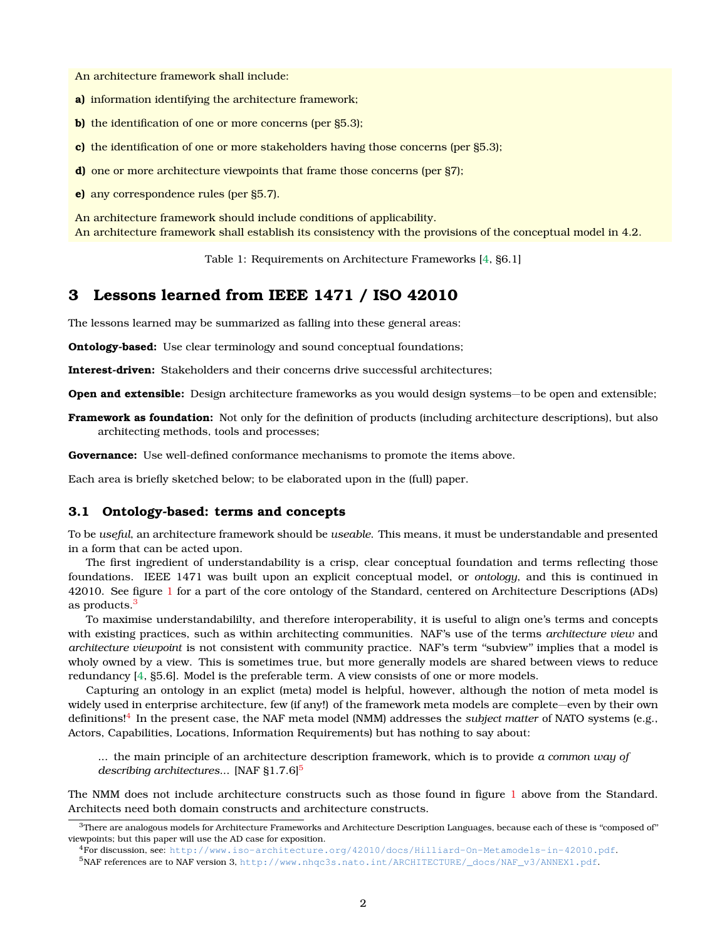An architecture framework shall include:

- **a)** information identifying the architecture framework;
- **b)** the identification of one or more concerns (per §5.3);
- **c)** the identification of one or more stakeholders having those concerns (per §5.3);
- **d)** one or more architecture viewpoints that frame those concerns (per §7);
- **e)** any correspondence rules (per §5.7).

An architecture framework should include conditions of applicability. An architecture framework shall establish its consistency with the provisions of the conceptual model in 4.2.

<span id="page-1-0"></span>Table 1: Requirements on Architecture Frameworks [\[4,](#page-3-1) §6.1]

# **3 Lessons learned from IEEE 1471 / ISO 42010**

The lessons learned may be summarized as falling into these general areas:

**Ontology-based:** Use clear terminology and sound conceptual foundations;

**Interest-driven:** Stakeholders and their concerns drive successful architectures;

**Open and extensible:** Design architecture frameworks as you would design systems—to be open and extensible;

**Framework as foundation:** Not only for the definition of products (including architecture descriptions), but also architecting methods, tools and processes;

**Governance:** Use well-defined conformance mechanisms to promote the items above.

Each area is briefly sketched below; to be elaborated upon in the (full) paper.

## **3.1 Ontology-based: terms and concepts**

To be *useful*, an architecture framework should be *useable*. This means, it must be understandable and presented in a form that can be acted upon.

The first ingredient of understandability is a crisp, clear conceptual foundation and terms reflecting those foundations. IEEE 1471 was built upon an explicit conceptual model, or *ontology*, and this is continued in 42010. See figure [1](#page-2-0) for a part of the core ontology of the Standard, centered on Architecture Descriptions (ADs) as products.[3](#page-1-1)

To maximise understandabililty, and therefore interoperability, it is useful to align one's terms and concepts with existing practices, such as within architecting communities. NAF's use of the terms *architecture view* and *architecture viewpoint* is not consistent with community practice. NAF's term ''subview'' implies that a model is wholy owned by a view. This is sometimes true, but more generally models are shared between views to reduce redundancy [\[4,](#page-3-1) §5.6]. Model is the preferable term. A view consists of one or more models.

Capturing an ontology in an explict (meta) model is helpful, however, although the notion of meta model is widely used in enterprise architecture, few (if any!) of the framework meta models are complete—even by their own definitions![4](#page-1-2) In the present case, the NAF meta model (NMM) addresses the *subject matter* of NATO systems (e.g., Actors, Capabilities, Locations, Information Requirements) but has nothing to say about:

... the main principle of an architecture description framework, which is to provide *a common way of describing architectures...* [NAF §1.7.6]<sup>[5](#page-1-3)</sup>

The NMM does not include architecture constructs such as those found in figure [1](#page-2-0) above from the Standard. Architects need both domain constructs and architecture constructs.

<span id="page-1-1"></span> $3$ There are analogous models for Architecture Frameworks and Architecture Description Languages, because each of these is "composed of" viewpoints; but this paper will use the AD case for exposition.

<span id="page-1-3"></span><span id="page-1-2"></span><sup>4</sup>For discussion, see: <http://www.iso-architecture.org/42010/docs/Hilliard-On-Metamodels-in-42010.pdf>. <sup>5</sup>NAF references are to NAF version 3, [http://www.nhqc3s.nato.int/ARCHITECTURE/\\_docs/NAF\\_v3/ANNEX1.pdf](http://www.nhqc3s.nato.int/ARCHITECTURE/_docs/NAF_v3/ANNEX1.pdf).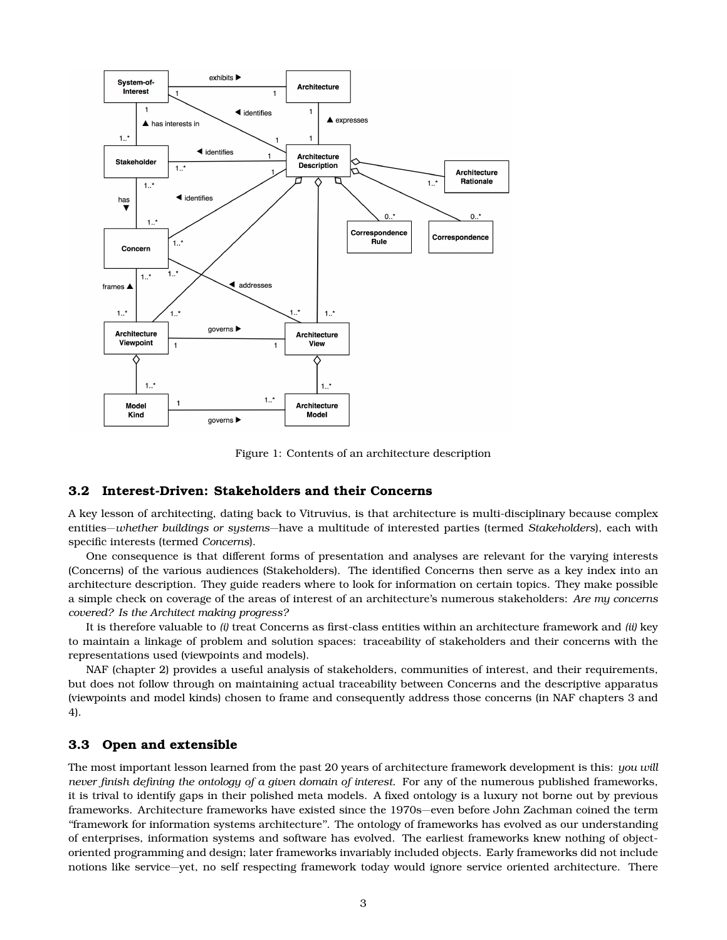

<span id="page-2-0"></span>Figure 1: Contents of an architecture description

#### **3.2 Interest-Driven: Stakeholders and their Concerns**

A key lesson of architecting, dating back to Vitruvius, is that architecture is multi-disciplinary because complex entities—*whether buildings or systems*—have a multitude of interested parties (termed *Stakeholders*), each with specific interests (termed *Concerns*).

One consequence is that different forms of presentation and analyses are relevant for the varying interests (Concerns) of the various audiences (Stakeholders). The identified Concerns then serve as a key index into an architecture description. They guide readers where to look for information on certain topics. They make possible a simple check on coverage of the areas of interest of an architecture's numerous stakeholders: *Are my concerns covered? Is the Architect making progress?*

It is therefore valuable to *(i)* treat Concerns as first-class entities within an architecture framework and *(ii)* key to maintain a linkage of problem and solution spaces: traceability of stakeholders and their concerns with the representations used (viewpoints and models).

NAF (chapter 2) provides a useful analysis of stakeholders, communities of interest, and their requirements, but does not follow through on maintaining actual traceability between Concerns and the descriptive apparatus (viewpoints and model kinds) chosen to frame and consequently address those concerns (in NAF chapters 3 and 4).

## **3.3 Open and extensible**

The most important lesson learned from the past 20 years of architecture framework development is this: *you will never finish defining the ontology of a given domain of interest*. For any of the numerous published frameworks, it is trival to identify gaps in their polished meta models. A fixed ontology is a luxury not borne out by previous frameworks. Architecture frameworks have existed since the 1970s—even before John Zachman coined the term ''framework for information systems architecture''. The ontology of frameworks has evolved as our understanding of enterprises, information systems and software has evolved. The earliest frameworks knew nothing of objectoriented programming and design; later frameworks invariably included objects. Early frameworks did not include notions like service—yet, no self respecting framework today would ignore service oriented architecture. There